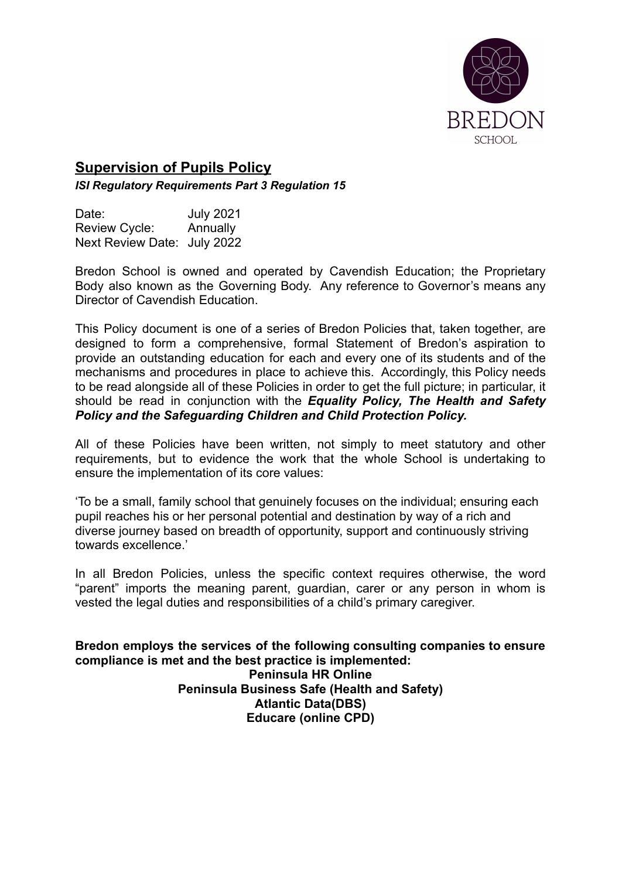

# **Supervision of Pupils Policy**

*ISI Regulatory Requirements Part 3 Regulation 15*

| Date:                       | <b>July 2021</b> |
|-----------------------------|------------------|
| Review Cycle:               | Annually         |
| Next Review Date: July 2022 |                  |

Bredon School is owned and operated by Cavendish Education; the Proprietary Body also known as the Governing Body. Any reference to Governor's means any Director of Cavendish Education.

This Policy document is one of a series of Bredon Policies that, taken together, are designed to form a comprehensive, formal Statement of Bredon's aspiration to provide an outstanding education for each and every one of its students and of the mechanisms and procedures in place to achieve this. Accordingly, this Policy needs to be read alongside all of these Policies in order to get the full picture; in particular, it should be read in conjunction with the *Equality Policy, The Health and Safety Policy and the Safeguarding Children and Child Protection Policy.*

All of these Policies have been written, not simply to meet statutory and other requirements, but to evidence the work that the whole School is undertaking to ensure the implementation of its core values:

'To be a small, family school that genuinely focuses on the individual; ensuring each pupil reaches his or her personal potential and destination by way of a rich and diverse journey based on breadth of opportunity, support and continuously striving towards excellence.'

In all Bredon Policies, unless the specific context requires otherwise, the word "parent" imports the meaning parent, guardian, carer or any person in whom is vested the legal duties and responsibilities of a child's primary caregiver.

**Bredon employs the services of the following consulting companies to ensure compliance is met and the best practice is implemented: Peninsula HR Online Peninsula Business Safe (Health and Safety) Atlantic Data(DBS) Educare (online CPD)**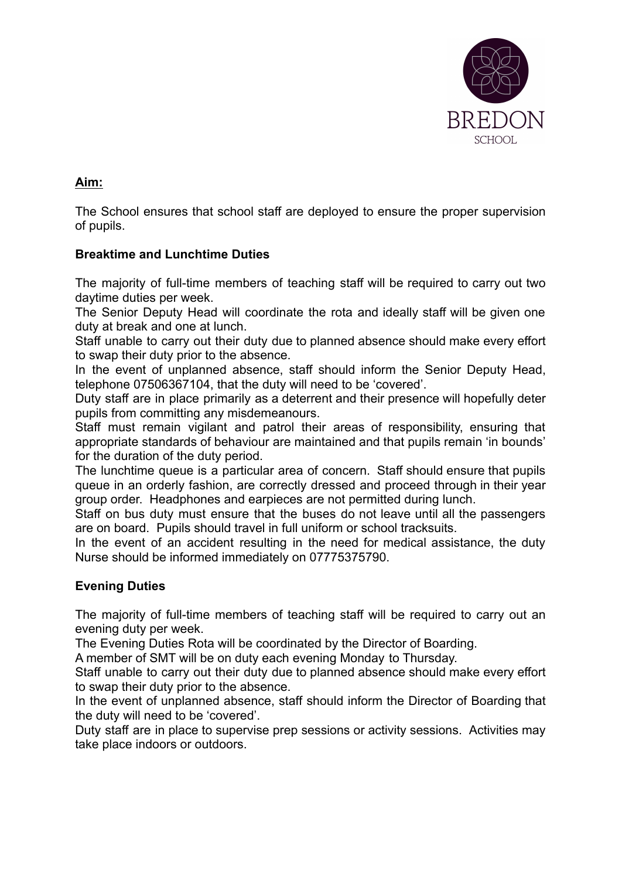

## **Aim:**

The School ensures that school staff are deployed to ensure the proper supervision of pupils.

## **Breaktime and Lunchtime Duties**

The majority of full-time members of teaching staff will be required to carry out two daytime duties per week.

The Senior Deputy Head will coordinate the rota and ideally staff will be given one duty at break and one at lunch.

Staff unable to carry out their duty due to planned absence should make every effort to swap their duty prior to the absence.

In the event of unplanned absence, staff should inform the Senior Deputy Head, telephone 07506367104, that the duty will need to be 'covered'.

Duty staff are in place primarily as a deterrent and their presence will hopefully deter pupils from committing any misdemeanours.

Staff must remain vigilant and patrol their areas of responsibility, ensuring that appropriate standards of behaviour are maintained and that pupils remain 'in bounds' for the duration of the duty period.

The lunchtime queue is a particular area of concern. Staff should ensure that pupils queue in an orderly fashion, are correctly dressed and proceed through in their year group order. Headphones and earpieces are not permitted during lunch.

Staff on bus duty must ensure that the buses do not leave until all the passengers are on board. Pupils should travel in full uniform or school tracksuits.

In the event of an accident resulting in the need for medical assistance, the duty Nurse should be informed immediately on 07775375790.

## **Evening Duties**

The majority of full-time members of teaching staff will be required to carry out an evening duty per week.

The Evening Duties Rota will be coordinated by the Director of Boarding.

A member of SMT will be on duty each evening Monday to Thursday.

Staff unable to carry out their duty due to planned absence should make every effort to swap their duty prior to the absence.

In the event of unplanned absence, staff should inform the Director of Boarding that the duty will need to be 'covered'.

Duty staff are in place to supervise prep sessions or activity sessions. Activities may take place indoors or outdoors.